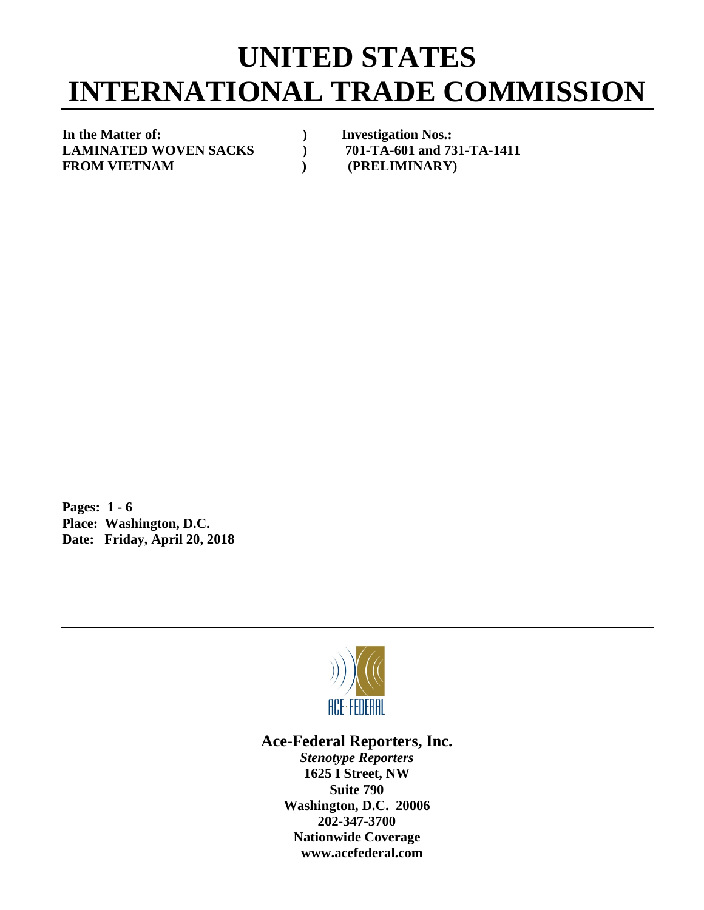## **UNITED STATES INTERNATIONAL TRADE COMMISSION**

**In the Matter of: ) Investigation Nos.:** LAMINATED WOVEN SACKS  $701-TA-601$  and 731-TA-1411 FROM VIETNAM (PRELIMINARY)

**Pages: 1 - 6 Place: Washington, D.C. Date: Friday, April 20, 2018**



**Ace-Federal Reporters, Inc.**

*Stenotype Reporters* **1625 I Street, NW Suite 790 Washington, D.C. 20006 202-347-3700 Nationwide Coverage www.acefederal.com**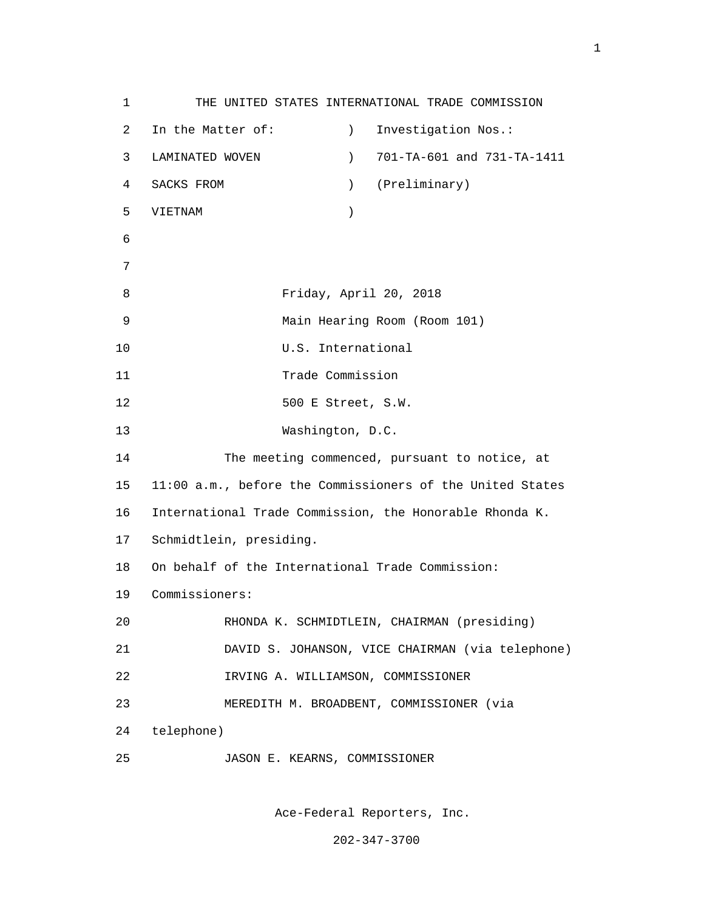1 THE UNITED STATES INTERNATIONAL TRADE COMMISSION 2 In the Matter of: ) Investigation Nos.: 3 LAMINATED WOVEN ) 701-TA-601 and 731-TA-1411 4 SACKS FROM ) (Preliminary) 5 VIETNAM ) 6 7 8 Friday, April 20, 2018 9 Main Hearing Room (Room 101) 10 U.S. International 11 Trade Commission 12 500 E Street, S.W. 13 Washington, D.C. 14 The meeting commenced, pursuant to notice, at 15 11:00 a.m., before the Commissioners of the United States 16 International Trade Commission, the Honorable Rhonda K. 17 Schmidtlein, presiding. 18 On behalf of the International Trade Commission: 19 Commissioners: 20 RHONDA K. SCHMIDTLEIN, CHAIRMAN (presiding) 21 DAVID S. JOHANSON, VICE CHAIRMAN (via telephone) 22 IRVING A. WILLIAMSON, COMMISSIONER 23 MEREDITH M. BROADBENT, COMMISSIONER (via 24 telephone) 25 JASON E. KEARNS, COMMISSIONER

Ace-Federal Reporters, Inc.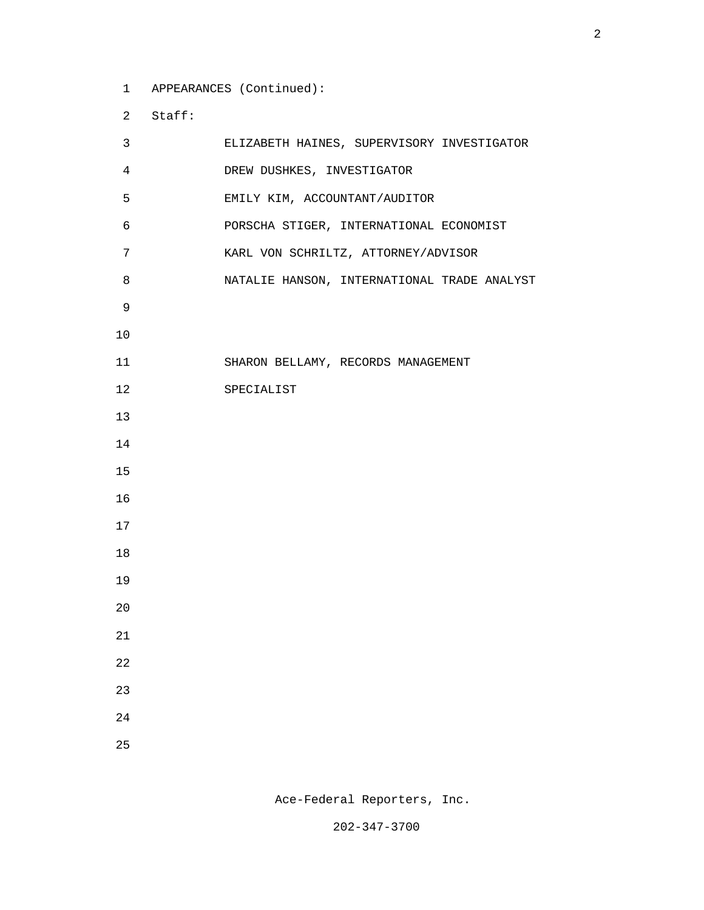1 APPEARANCES (Continued):

2 Staff:

| $\mathsf{3}$   | ELIZABETH HAINES, SUPERVISORY INVESTIGATOR  |  |
|----------------|---------------------------------------------|--|
| $\overline{4}$ | DREW DUSHKES, INVESTIGATOR                  |  |
| 5              | EMILY KIM, ACCOUNTANT/AUDITOR               |  |
| 6              | PORSCHA STIGER, INTERNATIONAL ECONOMIST     |  |
| 7              | KARL VON SCHRILTZ, ATTORNEY/ADVISOR         |  |
| 8              | NATALIE HANSON, INTERNATIONAL TRADE ANALYST |  |
| 9              |                                             |  |
| $10$           |                                             |  |
| 11             | SHARON BELLAMY, RECORDS MANAGEMENT          |  |
| 12             | SPECIALIST                                  |  |
| 13             |                                             |  |
| 14             |                                             |  |
| 15             |                                             |  |
| 16             |                                             |  |
| 17             |                                             |  |
| 18             |                                             |  |
| 19             |                                             |  |
| 20             |                                             |  |
| 21             |                                             |  |
| 22             |                                             |  |
| 23             |                                             |  |
| $2\sqrt{4}$    |                                             |  |
| 25             |                                             |  |

Ace-Federal Reporters, Inc.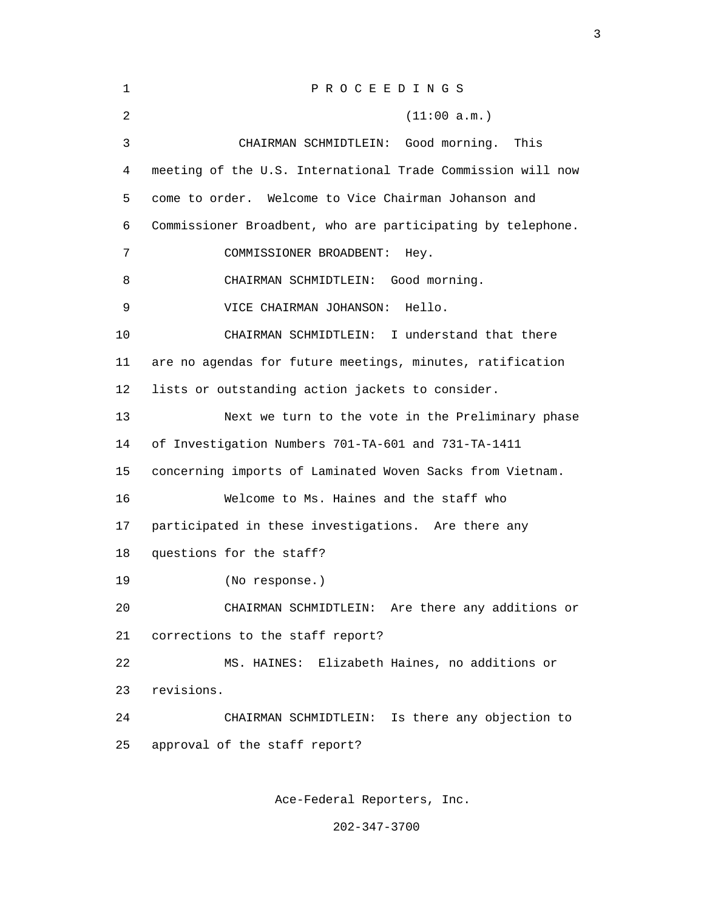| 1       | PROCEEDINGS                                                 |  |  |
|---------|-------------------------------------------------------------|--|--|
| 2       | (11:00 a.m.)                                                |  |  |
| 3       | CHAIRMAN SCHMIDTLEIN: Good morning.<br>This                 |  |  |
| 4       | meeting of the U.S. International Trade Commission will now |  |  |
| 5       | come to order.<br>Welcome to Vice Chairman Johanson and     |  |  |
| 6       | Commissioner Broadbent, who are participating by telephone. |  |  |
| 7       | COMMISSIONER BROADBENT:<br>Hey.                             |  |  |
| 8       | CHAIRMAN SCHMIDTLEIN:<br>Good morning.                      |  |  |
| 9       | Hello.<br>VICE CHAIRMAN JOHANSON:                           |  |  |
| 10      | CHAIRMAN SCHMIDTLEIN: I understand that there               |  |  |
| 11      | are no agendas for future meetings, minutes, ratification   |  |  |
| $12 \,$ | lists or outstanding action jackets to consider.            |  |  |
| 13      | Next we turn to the vote in the Preliminary phase           |  |  |
| 14      | of Investigation Numbers 701-TA-601 and 731-TA-1411         |  |  |
| 15      | concerning imports of Laminated Woven Sacks from Vietnam.   |  |  |
| 16      | Welcome to Ms. Haines and the staff who                     |  |  |
| 17      | participated in these investigations. Are there any         |  |  |
| 18      | questions for the staff?                                    |  |  |
| 19      | (No response.)                                              |  |  |
| 20      | CHAIRMAN SCHMIDTLEIN: Are there any additions or            |  |  |
| 21      | corrections to the staff report?                            |  |  |
| 22      | Elizabeth Haines, no additions or<br>MS. HAINES:            |  |  |
| 23      | revisions.                                                  |  |  |
| 24      | CHAIRMAN SCHMIDTLEIN: Is there any objection to             |  |  |
| 25      | approval of the staff report?                               |  |  |
|         |                                                             |  |  |

<u>3</u>

Ace-Federal Reporters, Inc.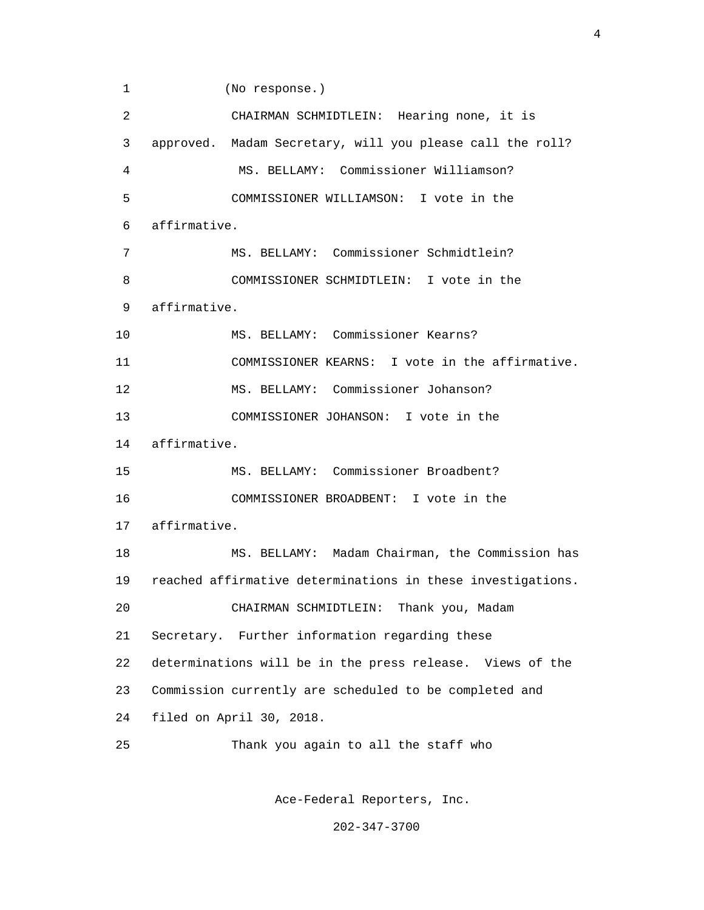1 (No response.) 2 CHAIRMAN SCHMIDTLEIN: Hearing none, it is 3 approved. Madam Secretary, will you please call the roll? 4 MS. BELLAMY: Commissioner Williamson? 5 COMMISSIONER WILLIAMSON: I vote in the 6 affirmative. 7 MS. BELLAMY: Commissioner Schmidtlein? 8 COMMISSIONER SCHMIDTLEIN: I vote in the 9 affirmative. 10 MS. BELLAMY: Commissioner Kearns? 11 COMMISSIONER KEARNS: I vote in the affirmative. 12 MS. BELLAMY: Commissioner Johanson? 13 COMMISSIONER JOHANSON: I vote in the 14 affirmative. 15 MS. BELLAMY: Commissioner Broadbent? 16 COMMISSIONER BROADBENT: I vote in the 17 affirmative. 18 MS. BELLAMY: Madam Chairman, the Commission has 19 reached affirmative determinations in these investigations. 20 CHAIRMAN SCHMIDTLEIN: Thank you, Madam 21 Secretary. Further information regarding these 22 determinations will be in the press release. Views of the 23 Commission currently are scheduled to be completed and 24 filed on April 30, 2018. 25 Thank you again to all the staff who

Ace-Federal Reporters, Inc.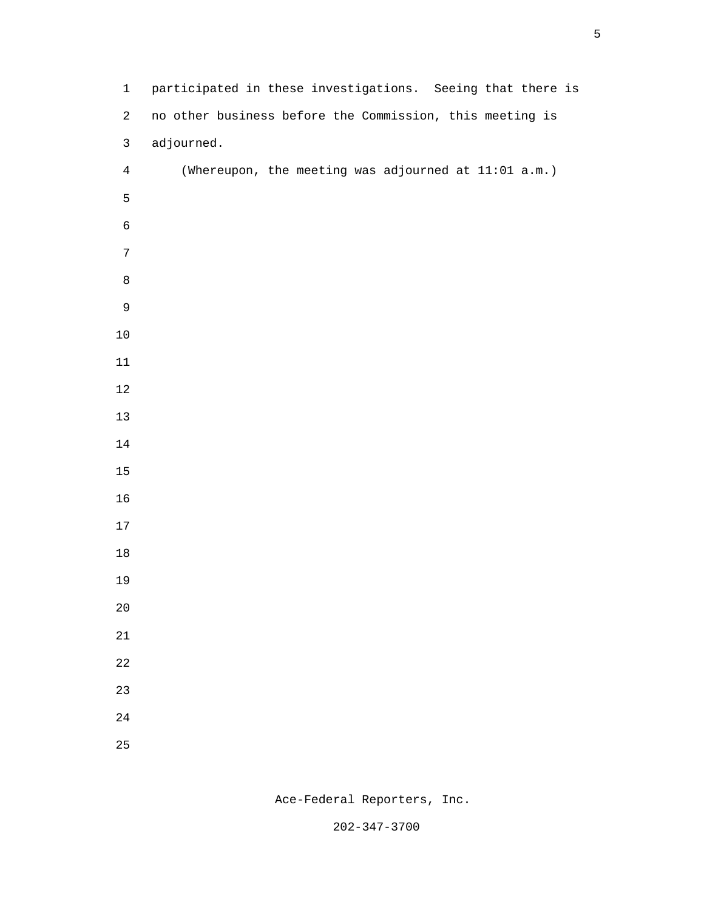| $\mathbf{1}$     | participated in these investigations. Seeing that there is |
|------------------|------------------------------------------------------------|
| $\overline{a}$   | no other business before the Commission, this meeting is   |
| $\mathsf{3}$     | adjourned.                                                 |
| $\overline{4}$   | (Whereupon, the meeting was adjourned at 11:01 a.m.)       |
| 5                |                                                            |
| $\epsilon$       |                                                            |
| $\boldsymbol{7}$ |                                                            |
| $\,8\,$          |                                                            |
| $\mathsf 9$      |                                                            |
| $10$             |                                                            |
| $11\,$           |                                                            |
| $12\,$           |                                                            |
| $13$             |                                                            |
| 14               |                                                            |
| 15               |                                                            |
| 16               |                                                            |
| $17\,$           |                                                            |
| $18\,$           |                                                            |
| 19               |                                                            |
| $2\,0$           |                                                            |
| $21\,$           |                                                            |
| $2\sqrt{2}$      |                                                            |
| 23               |                                                            |
| $2\sqrt{4}$      |                                                            |
| $25\,$           |                                                            |

Ace-Federal Reporters, Inc.